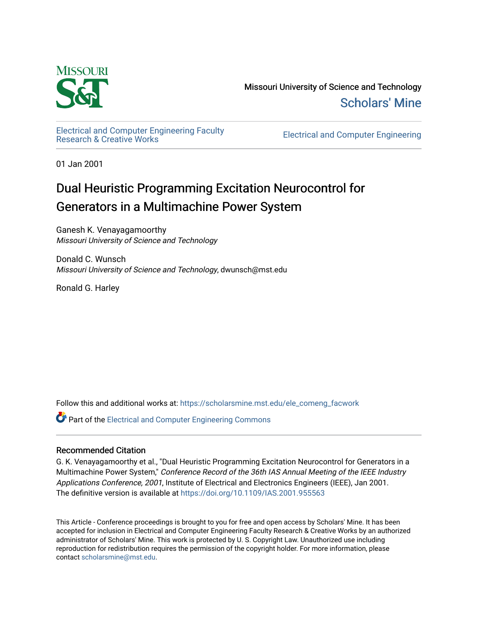

Missouri University of Science and Technology [Scholars' Mine](https://scholarsmine.mst.edu/) 

[Electrical and Computer Engineering Faculty](https://scholarsmine.mst.edu/ele_comeng_facwork)<br>Research & Creative Works

**Electrical and Computer Engineering** 

01 Jan 2001

# Dual Heuristic Programming Excitation Neurocontrol for Generators in a Multimachine Power System

Ganesh K. Venayagamoorthy Missouri University of Science and Technology

Donald C. Wunsch Missouri University of Science and Technology, dwunsch@mst.edu

Ronald G. Harley

Follow this and additional works at: [https://scholarsmine.mst.edu/ele\\_comeng\\_facwork](https://scholarsmine.mst.edu/ele_comeng_facwork?utm_source=scholarsmine.mst.edu%2Fele_comeng_facwork%2F1558&utm_medium=PDF&utm_campaign=PDFCoverPages)

**C** Part of the Electrical and Computer Engineering Commons

### Recommended Citation

G. K. Venayagamoorthy et al., "Dual Heuristic Programming Excitation Neurocontrol for Generators in a Multimachine Power System," Conference Record of the 36th IAS Annual Meeting of the IEEE Industry Applications Conference, 2001, Institute of Electrical and Electronics Engineers (IEEE), Jan 2001. The definitive version is available at <https://doi.org/10.1109/IAS.2001.955563>

This Article - Conference proceedings is brought to you for free and open access by Scholars' Mine. It has been accepted for inclusion in Electrical and Computer Engineering Faculty Research & Creative Works by an authorized administrator of Scholars' Mine. This work is protected by U. S. Copyright Law. Unauthorized use including reproduction for redistribution requires the permission of the copyright holder. For more information, please contact [scholarsmine@mst.edu](mailto:scholarsmine@mst.edu).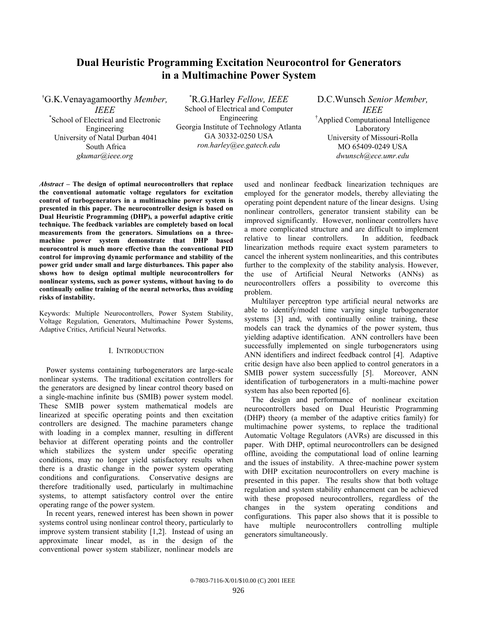## **Dual Heuristic Programming Excitation Neurocontrol for Generators in a Multimachine Power System**

†G.K.Venayagamoorthy *Member, IEEE* \* School of Electrical and Electronic Engineering University of Natal Durban 4041 South Africa *gkumar@ieee.org*

\*R.G.Harley *Fellow, IEEE* School of Electrical and Computer Engineering Georgia Institute of Technology Atlanta GA 30332-0250 USA *ron.harley@ee.gatech.edu*

D.C.Wunsch *Senior Member, IEEE* †Applied Computational Intelligence Laboratory University of Missouri-Rolla MO 65409-0249 USA *dwunsch@ece.umr.edu*

*Abstract –* **The design of optimal neurocontrollers that replace the conventional automatic voltage regulators for excitation control of turbogenerators in a multimachine power system is presented in this paper. The neurocontroller design is based on Dual Heuristic Programming (DHP), a powerful adaptive critic technique. The feedback variables are completely based on local measurements from the generators. Simulations on a threemachine power system demonstrate that DHP based neurocontrol is much more effective than the conventional PID control for improving dynamic performance and stability of the power grid under small and large disturbances. This paper also shows how to design optimal multiple neurocontrollers for nonlinear systems, such as power systems, without having to do continually online training of the neural networks, thus avoiding risks of instability.**

Keywords: Multiple Neurocontrollers, Power System Stability, Voltage Regulation, Generators, Multimachine Power Systems, Adaptive Critics, Artificial Neural Networks.

#### I. INTRODUCTION

Power systems containing turbogenerators are large-scale nonlinear systems. The traditional excitation controllers for the generators are designed by linear control theory based on a single-machine infinite bus (SMIB) power system model. These SMIB power system mathematical models are linearized at specific operating points and then excitation controllers are designed. The machine parameters change with loading in a complex manner, resulting in different behavior at different operating points and the controller which stabilizes the system under specific operating conditions, may no longer yield satisfactory results when there is a drastic change in the power system operating conditions and configurations. Conservative designs are therefore traditionally used, particularly in multimachine systems, to attempt satisfactory control over the entire operating range of the power system.

In recent years, renewed interest has been shown in power systems control using nonlinear control theory, particularly to improve system transient stability [1,2]. Instead of using an approximate linear model, as in the design of the conventional power system stabilizer, nonlinear models are used and nonlinear feedback linearization techniques are employed for the generator models, thereby alleviating the operating point dependent nature of the linear designs. Using nonlinear controllers, generator transient stability can be improved significantly. However, nonlinear controllers have a more complicated structure and are difficult to implement relative to linear controllers. In addition, feedback linearization methods require exact system parameters to cancel the inherent system nonlinearities, and this contributes further to the complexity of the stability analysis. However, the use of Artificial Neural Networks (ANNs) as neurocontrollers offers a possibility to overcome this problem.

Multilayer perceptron type artificial neural networks are able to identify/model time varying single turbogenerator systems [3] and, with continually online training, these models can track the dynamics of the power system, thus yielding adaptive identification. ANN controllers have been successfully implemented on single turbogenerators using ANN identifiers and indirect feedback control [4]. Adaptive critic design have also been applied to control generators in a SMIB power system successfully [5]. Moreover, ANN identification of turbogenerators in a multi-machine power system has also been reported [6].

The design and performance of nonlinear excitation neurocontrollers based on Dual Heuristic Programming (DHP) theory (a member of the adaptive critics family) for multimachine power systems, to replace the traditional Automatic Voltage Regulators (AVRs) are discussed in this paper. With DHP, optimal neurocontrollers can be designed offline, avoiding the computational load of online learning and the issues of instability. A three-machine power system with DHP excitation neurocontrollers on every machine is presented in this paper. The results show that both voltage regulation and system stability enhancement can be achieved with these proposed neurocontrollers, regardless of the changes in the system operating conditions and configurations. This paper also shows that it is possible to have multiple neurocontrollers controlling multiple generators simultaneously.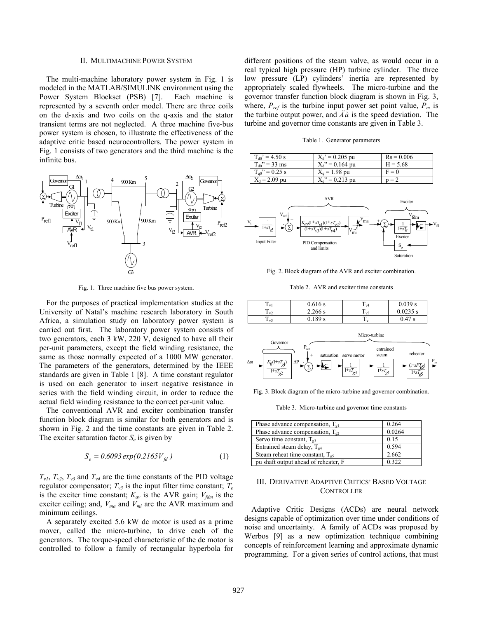#### II. MULTIMACHINE POWER SYSTEM

The multi-machine laboratory power system in Fig. 1 is modeled in the MATLAB/SIMULINK environment using the Power System Blockset (PSB) [7]. Each machine is represented by a seventh order model. There are three coils on the d-axis and two coils on the q-axis and the stator transient terms are not neglected. A three machine five-bus power system is chosen, to illustrate the effectiveness of the adaptive critic based neurocontrollers. The power system in Fig. 1 consists of two generators and the third machine is the infinite bus.



Fig. 1. Three machine five bus power system.

For the purposes of practical implementation studies at the University of Natal's machine research laboratory in South Africa, a simulation study on laboratory power system is carried out first. The laboratory power system consists of two generators, each 3 kW, 220 V, designed to have all their per-unit parameters, except the field winding resistance, the same as those normally expected of a 1000 MW generator. The parameters of the generators, determined by the IEEE standards are given in Table 1 [8]. A time constant regulator is used on each generator to insert negative resistance in series with the field winding circuit, in order to reduce the actual field winding resistance to the correct per-unit value.

The conventional AVR and exciter combination transfer function block diagram is similar for both generators and is shown in Fig. 2 and the time constants are given in Table 2. The exciter saturation factor  $S_e$  is given by

$$
S_e = 0.6093 \exp(0.2165 V_{fd})
$$
 (1)

 $T_{v1}$ ,  $T_{v2}$ ,  $T_{v3}$  and  $T_{v4}$  are the time constants of the PID voltage regulator compensator;  $T_{\nu 5}$  is the input filter time constant;  $T_e$ is the exciter time constant;  $K_{av}$  is the AVR gain;  $V_{fdm}$  is the exciter ceiling; and, *Vma* and *Vmi* are the AVR maximum and minimum ceilings.

A separately excited 5.6 kW dc motor is used as a prime mover, called the micro-turbine, to drive each of the generators. The torque-speed characteristic of the dc motor is controlled to follow a family of rectangular hyperbola for different positions of the steam valve, as would occur in a real typical high pressure (HP) turbine cylinder. The three low pressure (LP) cylinders' inertia are represented by appropriately scaled flywheels. The micro-turbine and the governor transfer function block diagram is shown in Fig. 3, where,  $P_{ref}$  is the turbine input power set point value,  $P_m$  is the turbine output power, and  $\ddot{A} \dot{u}$  is the speed deviation. The turbine and governor time constants are given in Table 3.

Table 1. Generator parameters

| $i = 4.50$ s<br>L'aoʻ    | $X_d$ ' = 0.205 pu | $Rs = 0.006$ |
|--------------------------|--------------------|--------------|
| $T_{d0}$ " = 33 ms       | $X_d$ " = 0.164 pu | $H = 5.68$   |
| $\Gamma_{00}$ " = 0.25 s | $X_{0} = 1.98$ pu  | $F = 0$      |
| $X_d = 2.09$ pu          | $L_0$ " = 0.213 pu | $n = 7$      |



Fig. 2. Block diagram of the AVR and exciter combination.

Table 2. AVR and exciter time constants

| 1 vl                 | 0.616 s          | 1 v4               | 0.039.<br>Q                |
|----------------------|------------------|--------------------|----------------------------|
| $1_v$                | 2.266 s          | $\mathbf{1}$ $v^*$ | 0.0235<br>$\epsilon$<br>۰J |
| r<br>1 <sub>v3</sub> | 189 <sub>s</sub> | $\pm$ $\alpha$     | 0.47                       |



Fig. 3. Block diagram of the micro-turbine and governor combination.

Table 3. Micro-turbine and governor time constants

| Phase advance compensation, $T_{\rho 1}$ | 0.264  |
|------------------------------------------|--------|
| Phase advance compensation, $T_{g2}$     | 0.0264 |
| Servo time constant, $T_{g3}$            | 0.15   |
| Entrained steam delay, $T_{\varphi 4}$   | 0.594  |
| Steam reheat time constant, $T_{.05}$    | 2.662  |
| pu shaft output ahead of reheater, F     | 0.322  |

#### III. DERIVATIVE ADAPTIVE CRITICS' BASED VOLTAGE **CONTROLLER**

Adaptive Critic Designs (ACDs) are neural network designs capable of optimization over time under conditions of noise and uncertainty. A family of ACDs was proposed by Werbos [9] as a new optimization technique combining concepts of reinforcement learning and approximate dynamic programming. For a given series of control actions, that must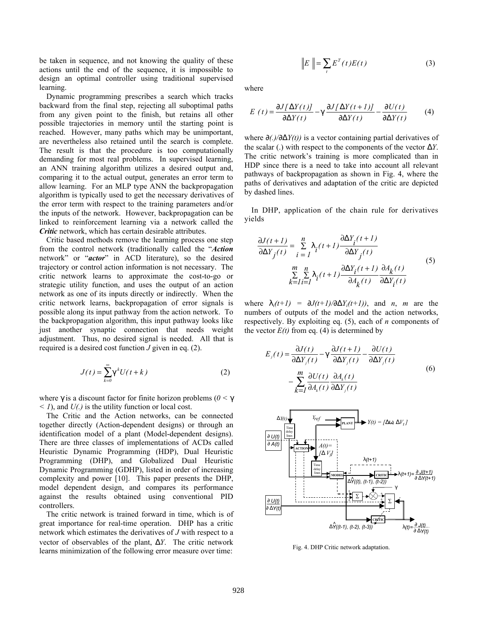be taken in sequence, and not knowing the quality of these actions until the end of the sequence, it is impossible to design an optimal controller using traditional supervised learning.

Dynamic programming prescribes a search which tracks backward from the final step, rejecting all suboptimal paths from any given point to the finish, but retains all other possible trajectories in memory until the starting point is reached. However, many paths which may be unimportant, are nevertheless also retained until the search is complete. The result is that the procedure is too computationally demanding for most real problems. In supervised learning, an ANN training algorithm utilizes a desired output and, comparing it to the actual output, generates an error term to allow learning. For an MLP type ANN the backpropagation algorithm is typically used to get the necessary derivatives of the error term with respect to the training parameters and/or the inputs of the network. However, backpropagation can be linked to reinforcement learning via a network called the *Critic* network, which has certain desirable attributes.

Critic based methods remove the learning process one step from the control network (traditionally called the "*Action* network" or "*actor*" in ACD literature), so the desired trajectory or control action information is not necessary. The critic network learns to approximate the cost-to-go or strategic utility function, and uses the output of an action network as one of its inputs directly or indirectly. When the critic network learns, backpropagation of error signals is possible along its input pathway from the action network. To the backpropagation algorithm, this input pathway looks like just another synaptic connection that needs weight adjustment. Thus, no desired signal is needed. All that is required is a desired cost function *J* given in eq. (2).

$$
J(t) = \stackrel{\ast}{\underset{k=0}{\mathbf{a}}} \mathbf{g}^k U(t+k)
$$
 (2)

where **g** is a discount factor for finite horizon problems ( $0 \le \mathbf{g}$ ) *< 1*), and *U(.)* is the utility function or local cost.

The Critic and the Action networks, can be connected together directly (Action-dependent designs) or through an identification model of a plant (Model-dependent designs). There are three classes of implementations of ACDs called Heuristic Dynamic Programming (HDP), Dual Heuristic Programming (DHP), and Globalized Dual Heuristic Dynamic Programming (GDHP), listed in order of increasing complexity and power [10]. This paper presents the DHP, model dependent design, and compares its performance against the results obtained using conventional PID controllers.

The critic network is trained forward in time, which is of great importance for real-time operation. DHP has a critic network which estimates the derivatives of *J* with respect to a vector of observables of the plant, *DY*. The critic network learns minimization of the following error measure over time:

$$
\|E\| = \mathbf{\mathring{A}} \ E^{T}(t)E(t) \tag{3}
$$

where

$$
E(t) = \frac{\P{J(DY(t))}}{\P{DY(t)}} - g \frac{\P{J(DY(t+1))}}{\P{DY(t)}} - \frac{\P{U(t)}}{\P{DY(t)}} \tag{4}
$$

where *¶(.)/¶DY(t))* is a vector containing partial derivatives of the scalar (.) with respect to the components of the vector *DY*. The critic network's training is more complicated than in HDP since there is a need to take into account all relevant pathways of backpropagation as shown in Fig. 4, where the paths of derivatives and adaptation of the critic are depicted by dashed lines.

In DHP, application of the chain rule for derivatives yields

$$
\frac{\P{U(t+1)}}{\P{DY}_j(t)} = \frac{n}{\hat{a}} I_i(t+1) \frac{\P{DY}_i(t+1)}{\P{DY}_j(t)}
$$
\n
$$
\frac{m}{\hat{a}} I_i(t+1) \frac{\P{DY}_i(t+1)}{\P{A}_k(t)} \frac{\P{A}_k(t)}{\P{DY}_i(t)}
$$
\n(5)

where  $I_i(t+1) = \frac{f}{f}(t+1)/\frac{f}{f}(DY_i(t+1))$ , and *n*, *m* are the numbers of outputs of the model and the action networks, respectively. By exploiting eq. (5), each of *n* components of the vector  $E(t)$  from eq. (4) is determined by

$$
E_j(t) = \frac{\P(t)}{\P DY_j(t)} - g \frac{\P(t+1)}{\P DY_j(t)} - \frac{\P U(t)}{\P DY_j(t)}
$$
  

$$
- \frac{m}{\mathbf{A}} \frac{\P U(t)}{\P A_k(t)} \frac{\P A_k(t)}{\P DY_j(t)}
$$
 (6)



Fig. 4. DHP Critic network adaptation.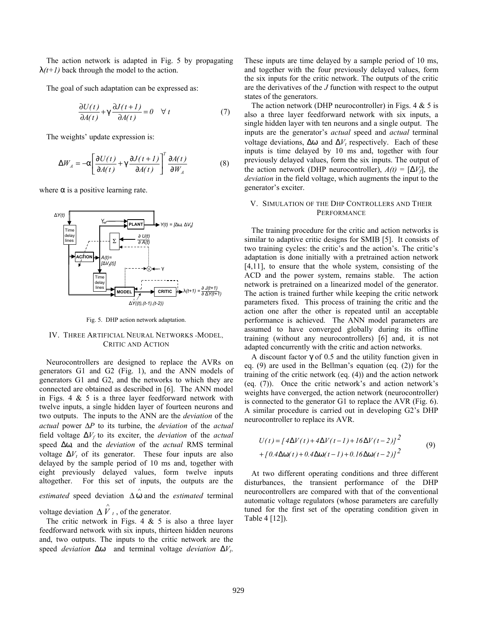The action network is adapted in Fig. 5 by propagating *l*(*t*+*l*) back through the model to the action.

The goal of such adaptation can be expressed as:

$$
\frac{\P{U(t)}{\P{A(t)}} + \mathbf{g} \frac{\P{J(t+1)}}{\P{A(t)}} = 0 \quad \text{if} \quad t \tag{7}
$$

The weights' update expression is:

$$
DW_{A} = -\mathbf{a} \frac{\hat{\mathbf{e}} \mathbf{f} U(t)}{\hat{\mathbf{e}} \mathbf{f} A(t)} + \mathbf{g} \frac{\mathbf{f} J(t+1) \hat{\mathbf{u}}^{T}}{\mathbf{f} A(t)} \frac{\mathbf{f} A(t)}{\hat{\mathbf{u}} \mathbf{f} W_{A}}
$$
(8)

where **a** is a positive learning rate.



Fig. 5. DHP action network adaptation.

#### IV. THREE ARTIFICIAL NEURAL NETWORKS -MODEL, CRITIC AND ACTION

Neurocontrollers are designed to replace the AVRs on generators G1 and G2 (Fig. 1), and the ANN models of generators G1 and G2, and the networks to which they are connected are obtained as described in [6]. The ANN model in Figs.  $4 \& 5$  is a three layer feedforward network with twelve inputs, a single hidden layer of fourteen neurons and two outputs. The inputs to the ANN are the *deviation* of the *actual* power *P* to its turbine, the *deviation* of the *actual* field voltage  $\mathbf{D}V_f$  to its exciter, the *deviation* of the *actual* speed *Dw,* and the *deviation* of the *actual* RMS terminal voltage  $\mathbf{D}V_t$  of its generator. These four inputs are also delayed by the sample period of 10 ms and, together with eight previously delayed values, form twelve inputs altogether. For this set of inputs, the outputs are the Ù *estimated* speed deviation Dw and the *estimated* terminal voltage deviation  $\mathbf{D}V_t$ , of the generator.

The critic network in Figs. 4  $\&$  5 is also a three layer feedforward network with six inputs, thirteen hidden neurons and, two outputs. The inputs to the critic network are the speed *deviation Dw* and terminal voltage *deviation DV<sup>t</sup>* .

These inputs are time delayed by a sample period of 10 ms, and together with the four previously delayed values, form the six inputs for the critic network. The outputs of the critic are the derivatives of the *J* function with respect to the output states of the generators.

The action network (DHP neurocontroller) in Figs.  $4 \& 5$  is also a three layer feedforward network with six inputs, a single hidden layer with ten neurons and a single output. The inputs are the generator's *actual* speed and *actual* terminal voltage deviations, *Dw* and  $\mathbf{D}V_t$  respectively. Each of these inputs is time delayed by 10 ms and, together with four previously delayed values, form the six inputs. The output of the action network (DHP neurocontroller),  $A(t) = [DV_f]$ , the *deviation* in the field voltage, which augments the input to the generator's exciter.

#### V. SIMULATION OF THE DHP CONTROLLERS AND THEIR PERFORMANCE

The training procedure for the critic and action networks is similar to adaptive critic designs for SMIB [5]. It consists of two training cycles: the critic's and the action's. The critic's adaptation is done initially with a pretrained action network [4,11], to ensure that the whole system, consisting of the ACD and the power system, remains stable. The action network is pretrained on a linearized model of the generator. The action is trained further while keeping the critic network parameters fixed. This process of training the critic and the action one after the other is repeated until an acceptable performance is achieved. The ANN model parameters are assumed to have converged globally during its offline training (without any neurocontrollers) [6] and, it is not adapted concurrently with the critic and action networks.

A discount factor *g* of 0.5 and the utility function given in eq. (9) are used in the Bellman's equation (eq. (2)) for the training of the critic network (eq. (4)) and the action network (eq. (7)). Once the critic network's and action network's weights have converged, the action network (neurocontroller) is connected to the generator G1 to replace the AVR (Fig. 6). A similar procedure is carried out in developing G2's DHP neurocontroller to replace its AVR.

$$
U(t) = [4DV(t) + 4DV(t-1) + 16DV(t-2)]^{2}
$$
  
+ [0.4Dw(t) + 0.4Dw(t-1) + 0.16Dw(t-2)]^{2} (9)

At two different operating conditions and three different disturbances, the transient performance of the DHP neurocontrollers are compared with that of the conventional automatic voltage regulators (whose parameters are carefully tuned for the first set of the operating condition given in Table 4 [12]).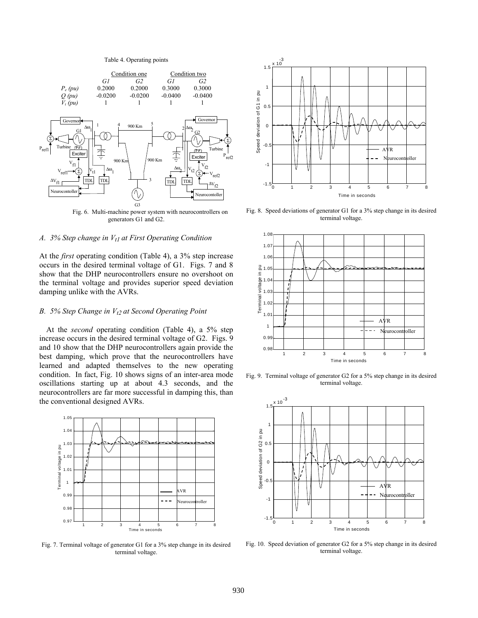#### Table 4. Operating points



Fig. 6. Multi-machine power system with neurocontrollers on generators G1 and G2.

#### *A. 3% Step change in Vt1 at First Operating Condition*

At the *first* operating condition (Table 4), a 3% step increase occurs in the desired terminal voltage of G1. Figs. 7 and 8 show that the DHP neurocontrollers ensure no overshoot on the terminal voltage and provides superior speed deviation damping unlike with the AVRs.

#### *B. 5% Step Change in Vt2 at Second Operating Point*

At the *second* operating condition (Table 4), a 5% step increase occurs in the desired terminal voltage of G2. Figs. 9 and 10 show that the DHP neurocontrollers again provide the best damping, which prove that the neurocontrollers have learned and adapted themselves to the new operating condition. In fact, Fig. 10 shows signs of an inter-area mode oscillations starting up at about 4.3 seconds, and the neurocontrollers are far more successful in damping this, than the conventional designed AVRs.



Fig. 7. Terminal voltage of generator G1 for a 3% step change in its desired terminal voltage.



Fig. 8. Speed deviations of generator G1 for a 3% step change in its desired terminal voltage.



Fig. 9. Terminal voltage of generator G2 for a 5% step change in its desired terminal voltage.



Fig. 10. Speed deviation of generator G2 for a 5% step change in its desired terminal voltage.